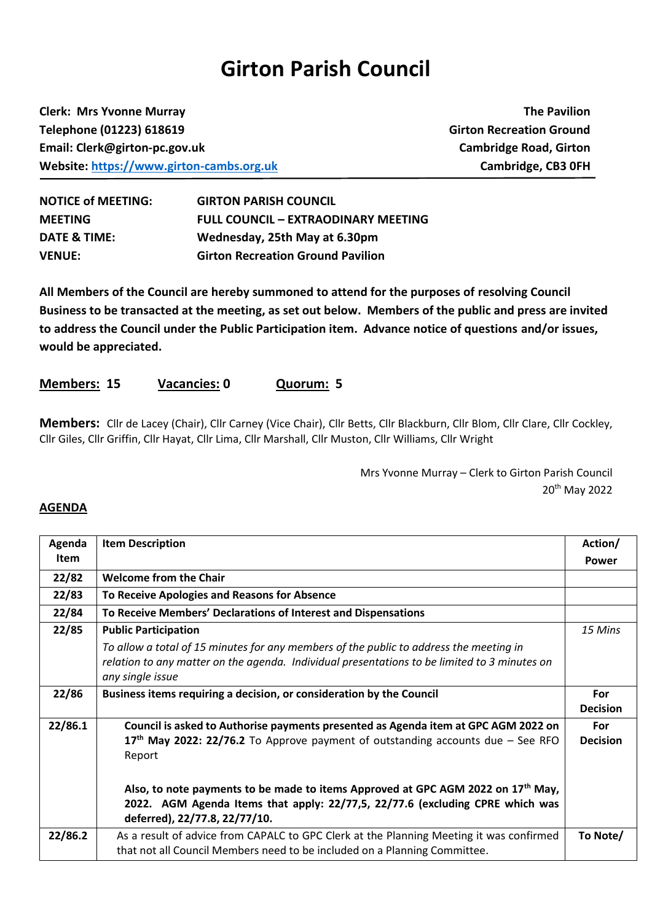## **Girton Parish Council**

**Clerk: Mrs Yvonne Murray The Pavilion Telephone (01223) 618619 Girton Recreation Ground Email: Clerk@girton-pc.gov.uk Cambridge Road, Girton Website:** [https://www.girton-cambs.org.uk](https://www.girton-cambs.org.uk/) **Cambridge, CB3 0FH** 

| <b>NOTICE of MEETING:</b> | <b>GIRTON PARISH COUNCIL</b>               |
|---------------------------|--------------------------------------------|
| <b>MEETING</b>            | <b>FULL COUNCIL - EXTRAODINARY MEETING</b> |
| DATE & TIME:              | Wednesday, 25th May at 6.30pm              |
| <b>VENUE:</b>             | <b>Girton Recreation Ground Pavilion</b>   |

**All Members of the Council are hereby summoned to attend for the purposes of resolving Council Business to be transacted at the meeting, as set out below. Members of the public and press are invited to address the Council under the Public Participation item. Advance notice of questions and/or issues, would be appreciated.**

## **Members: 15 Vacancies: 0 Quorum: 5**

**Members:** Cllr de Lacey (Chair), Cllr Carney (Vice Chair), Cllr Betts, Cllr Blackburn, Cllr Blom, Cllr Clare, Cllr Cockley, Cllr Giles, Cllr Griffin, Cllr Hayat, Cllr Lima, Cllr Marshall, Cllr Muston, Cllr Williams, Cllr Wright

> Mrs Yvonne Murray – Clerk to Girton Parish Council 20th May 2022

## **AGENDA**

| Agenda      | <b>Item Description</b>                                                                                                                                                                                        | Action/                |
|-------------|----------------------------------------------------------------------------------------------------------------------------------------------------------------------------------------------------------------|------------------------|
| <b>Item</b> |                                                                                                                                                                                                                | <b>Power</b>           |
| 22/82       | <b>Welcome from the Chair</b>                                                                                                                                                                                  |                        |
| 22/83       | To Receive Apologies and Reasons for Absence                                                                                                                                                                   |                        |
| 22/84       | To Receive Members' Declarations of Interest and Dispensations                                                                                                                                                 |                        |
| 22/85       | <b>Public Participation</b>                                                                                                                                                                                    | 15 Mins                |
|             | To allow a total of 15 minutes for any members of the public to address the meeting in<br>relation to any matter on the agenda. Individual presentations to be limited to 3 minutes on<br>any single issue     |                        |
| 22/86       | Business items requiring a decision, or consideration by the Council                                                                                                                                           | For<br><b>Decision</b> |
| 22/86.1     | Council is asked to Authorise payments presented as Agenda item at GPC AGM 2022 on<br>17 <sup>th</sup> May 2022: 22/76.2 To Approve payment of outstanding accounts due – See RFO<br>Report                    | For<br><b>Decision</b> |
|             | Also, to note payments to be made to items Approved at GPC AGM 2022 on 17 <sup>th</sup> May,<br>2022. AGM Agenda Items that apply: 22/77,5, 22/77.6 (excluding CPRE which was<br>deferred), 22/77.8, 22/77/10. |                        |
| 22/86.2     | As a result of advice from CAPALC to GPC Clerk at the Planning Meeting it was confirmed<br>that not all Council Members need to be included on a Planning Committee.                                           | To Note/               |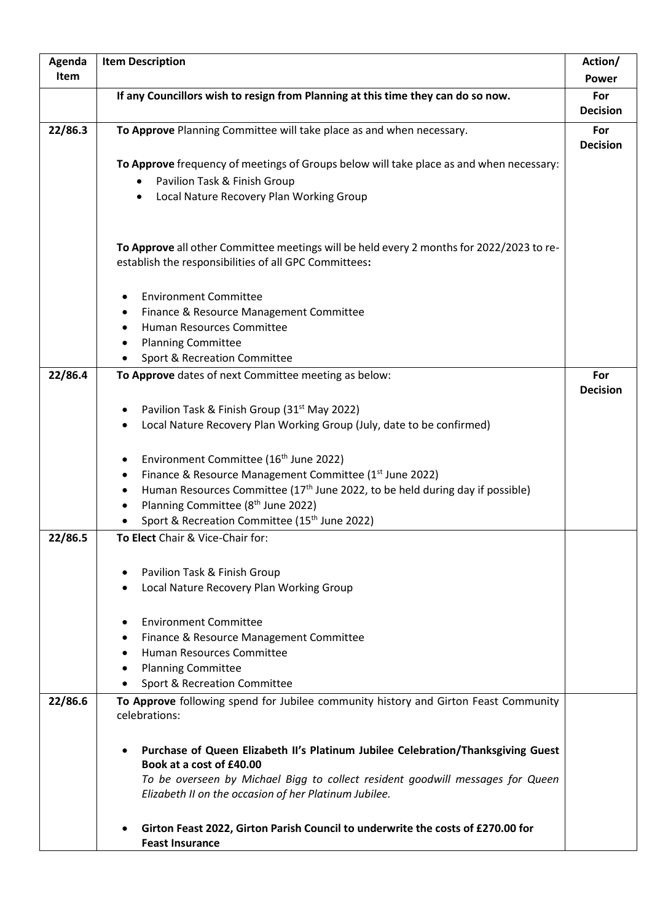| Agenda  | <b>Item Description</b>                                                                                   | Action/         |
|---------|-----------------------------------------------------------------------------------------------------------|-----------------|
| Item    |                                                                                                           | <b>Power</b>    |
|         | If any Councillors wish to resign from Planning at this time they can do so now.                          | For             |
|         |                                                                                                           | <b>Decision</b> |
| 22/86.3 | To Approve Planning Committee will take place as and when necessary.                                      | For             |
|         |                                                                                                           | <b>Decision</b> |
|         | To Approve frequency of meetings of Groups below will take place as and when necessary:                   |                 |
|         | Pavilion Task & Finish Group                                                                              |                 |
|         | Local Nature Recovery Plan Working Group<br>$\bullet$                                                     |                 |
|         |                                                                                                           |                 |
|         |                                                                                                           |                 |
|         | To Approve all other Committee meetings will be held every 2 months for 2022/2023 to re-                  |                 |
|         | establish the responsibilities of all GPC Committees:                                                     |                 |
|         | <b>Environment Committee</b>                                                                              |                 |
|         | Finance & Resource Management Committee                                                                   |                 |
|         | Human Resources Committee                                                                                 |                 |
|         | <b>Planning Committee</b>                                                                                 |                 |
|         | Sport & Recreation Committee                                                                              |                 |
| 22/86.4 | To Approve dates of next Committee meeting as below:                                                      | For             |
|         |                                                                                                           | <b>Decision</b> |
|         | Pavilion Task & Finish Group (31 <sup>st</sup> May 2022)                                                  |                 |
|         | Local Nature Recovery Plan Working Group (July, date to be confirmed)                                     |                 |
|         |                                                                                                           |                 |
|         | Environment Committee (16 <sup>th</sup> June 2022)<br>$\bullet$                                           |                 |
|         | Finance & Resource Management Committee (1 <sup>st</sup> June 2022)                                       |                 |
|         | Human Resources Committee (17 <sup>th</sup> June 2022, to be held during day if possible)                 |                 |
|         | Planning Committee (8 <sup>th</sup> June 2022)                                                            |                 |
|         | Sport & Recreation Committee (15th June 2022)                                                             |                 |
| 22/86.5 | To Elect Chair & Vice-Chair for:                                                                          |                 |
|         |                                                                                                           |                 |
|         | Pavilion Task & Finish Group                                                                              |                 |
|         | Local Nature Recovery Plan Working Group                                                                  |                 |
|         | <b>Environment Committee</b>                                                                              |                 |
|         | Finance & Resource Management Committee                                                                   |                 |
|         | Human Resources Committee                                                                                 |                 |
|         | <b>Planning Committee</b>                                                                                 |                 |
|         | Sport & Recreation Committee                                                                              |                 |
| 22/86.6 | To Approve following spend for Jubilee community history and Girton Feast Community                       |                 |
|         | celebrations:                                                                                             |                 |
|         |                                                                                                           |                 |
|         | Purchase of Queen Elizabeth II's Platinum Jubilee Celebration/Thanksgiving Guest                          |                 |
|         | Book at a cost of £40.00                                                                                  |                 |
|         | To be overseen by Michael Bigg to collect resident goodwill messages for Queen                            |                 |
|         | Elizabeth II on the occasion of her Platinum Jubilee.                                                     |                 |
|         |                                                                                                           |                 |
|         | Girton Feast 2022, Girton Parish Council to underwrite the costs of £270.00 for<br><b>Feast Insurance</b> |                 |
|         |                                                                                                           |                 |